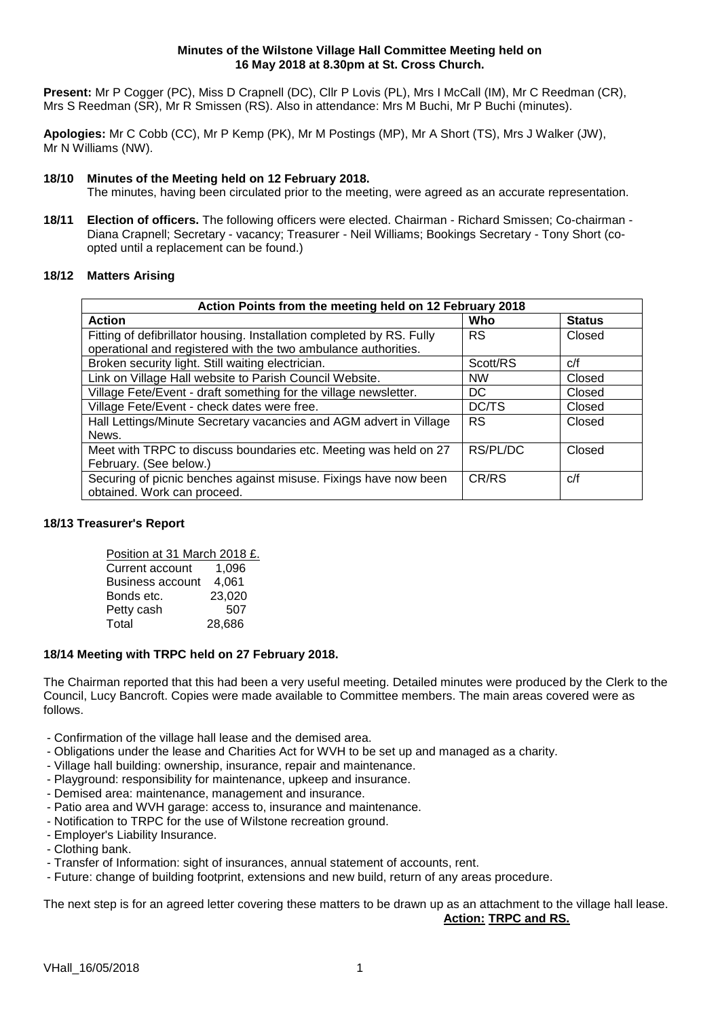### **Minutes of the Wilstone Village Hall Committee Meeting held on 16 May 2018 at 8.30pm at St. Cross Church.**

**Present:** Mr P Cogger (PC), Miss D Crapnell (DC), Cllr P Lovis (PL), Mrs I McCall (IM), Mr C Reedman (CR), Mrs S Reedman (SR), Mr R Smissen (RS). Also in attendance: Mrs M Buchi, Mr P Buchi (minutes).

**Apologies:** Mr C Cobb (CC), Mr P Kemp (PK), Mr M Postings (MP), Mr A Short (TS), Mrs J Walker (JW), Mr N Williams (NW).

## **18/10 Minutes of the Meeting held on 12 February 2018.**

The minutes, having been circulated prior to the meeting, were agreed as an accurate representation.

**18/11 Election of officers.** The following officers were elected. Chairman - Richard Smissen; Co-chairman - Diana Crapnell; Secretary - vacancy; Treasurer - Neil Williams; Bookings Secretary - Tony Short (coopted until a replacement can be found.)

### **18/12 Matters Arising**

| Action Points from the meeting held on 12 February 2018               |           |               |  |
|-----------------------------------------------------------------------|-----------|---------------|--|
| <b>Action</b>                                                         | Who       | <b>Status</b> |  |
| Fitting of defibrillator housing. Installation completed by RS. Fully | <b>RS</b> | Closed        |  |
| operational and registered with the two ambulance authorities.        |           |               |  |
| Broken security light. Still waiting electrician.                     | Scott/RS  | c/f           |  |
| Link on Village Hall website to Parish Council Website.               | <b>NW</b> | Closed        |  |
| Village Fete/Event - draft something for the village newsletter.      | DC.       | Closed        |  |
| Village Fete/Event - check dates were free.                           | DC/TS     | Closed        |  |
| Hall Lettings/Minute Secretary vacancies and AGM advert in Village    | <b>RS</b> | Closed        |  |
| News.                                                                 |           |               |  |
| Meet with TRPC to discuss boundaries etc. Meeting was held on 27      | RS/PL/DC  | Closed        |  |
| February. (See below.)                                                |           |               |  |
| Securing of picnic benches against misuse. Fixings have now been      | CR/RS     | C/f           |  |
| obtained. Work can proceed.                                           |           |               |  |

#### **18/13 Treasurer's Report**

| Position at 31 March 2018 £. |        |  |
|------------------------------|--------|--|
| Current account              | 1.096  |  |
| <b>Business account</b>      | 4.061  |  |
| Bonds etc.                   | 23,020 |  |
| Petty cash                   | 507    |  |
| Total                        | 28,686 |  |

## **18/14 Meeting with TRPC held on 27 February 2018.**

The Chairman reported that this had been a very useful meeting. Detailed minutes were produced by the Clerk to the Council, Lucy Bancroft. Copies were made available to Committee members. The main areas covered were as follows.

- Confirmation of the village hall lease and the demised area.
- Obligations under the lease and Charities Act for WVH to be set up and managed as a charity.
- Village hall building: ownership, insurance, repair and maintenance.
- Playground: responsibility for maintenance, upkeep and insurance.
- Demised area: maintenance, management and insurance.
- Patio area and WVH garage: access to, insurance and maintenance.
- Notification to TRPC for the use of Wilstone recreation ground.
- Employer's Liability Insurance.
- Clothing bank.
- Transfer of Information: sight of insurances, annual statement of accounts, rent.
- Future: change of building footprint, extensions and new build, return of any areas procedure.

The next step is for an agreed letter covering these matters to be drawn up as an attachment to the village hall lease.

**Action: TRPC and RS.**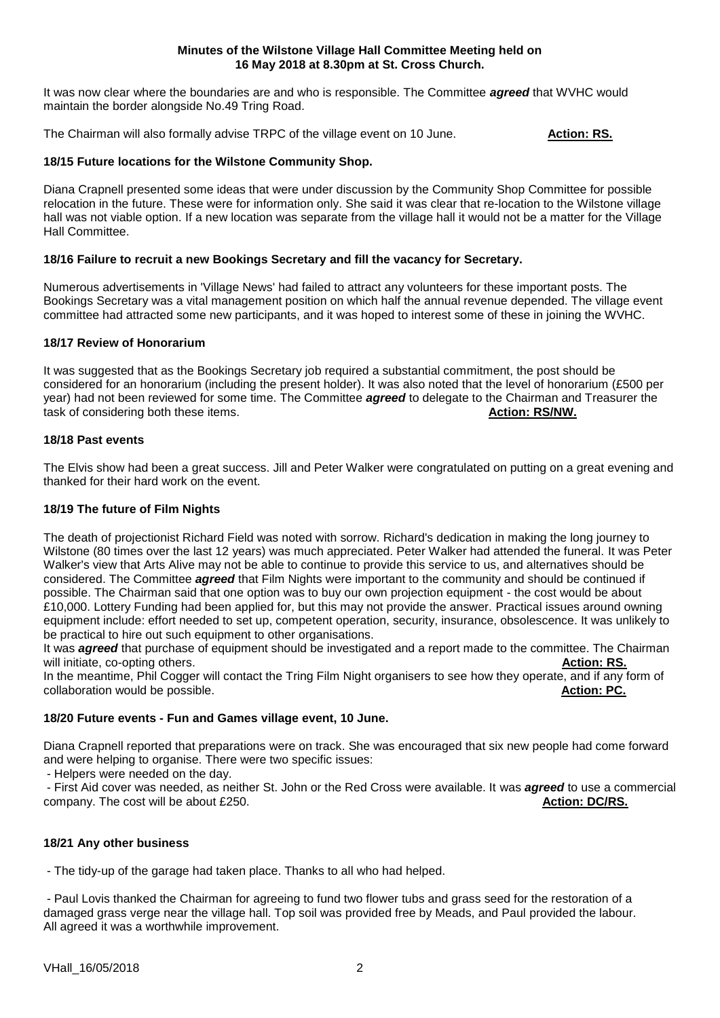#### **Minutes of the Wilstone Village Hall Committee Meeting held on 16 May 2018 at 8.30pm at St. Cross Church.**

It was now clear where the boundaries are and who is responsible. The Committee *agreed* that WVHC would maintain the border alongside No.49 Tring Road.

The Chairman will also formally advise TRPC of the village event on 10 June. **Action: RS.**

### **18/15 Future locations for the Wilstone Community Shop.**

Diana Crapnell presented some ideas that were under discussion by the Community Shop Committee for possible relocation in the future. These were for information only. She said it was clear that re-location to the Wilstone village hall was not viable option. If a new location was separate from the village hall it would not be a matter for the Village Hall Committee.

### **18/16 Failure to recruit a new Bookings Secretary and fill the vacancy for Secretary.**

Numerous advertisements in 'Village News' had failed to attract any volunteers for these important posts. The Bookings Secretary was a vital management position on which half the annual revenue depended. The village event committee had attracted some new participants, and it was hoped to interest some of these in joining the WVHC.

### **18/17 Review of Honorarium**

It was suggested that as the Bookings Secretary job required a substantial commitment, the post should be considered for an honorarium (including the present holder). It was also noted that the level of honorarium (£500 per year) had not been reviewed for some time. The Committee *agreed* to delegate to the Chairman and Treasurer the task of considering both these items. **Action: RS/NW.**

#### **18/18 Past events**

The Elvis show had been a great success. Jill and Peter Walker were congratulated on putting on a great evening and thanked for their hard work on the event.

## **18/19 The future of Film Nights**

The death of projectionist Richard Field was noted with sorrow. Richard's dedication in making the long journey to Wilstone (80 times over the last 12 years) was much appreciated. Peter Walker had attended the funeral. It was Peter Walker's view that Arts Alive may not be able to continue to provide this service to us, and alternatives should be considered. The Committee *agreed* that Film Nights were important to the community and should be continued if possible. The Chairman said that one option was to buy our own projection equipment - the cost would be about £10,000. Lottery Funding had been applied for, but this may not provide the answer. Practical issues around owning equipment include: effort needed to set up, competent operation, security, insurance, obsolescence. It was unlikely to be practical to hire out such equipment to other organisations.

It was *agreed* that purchase of equipment should be investigated and a report made to the committee. The Chairman will initiate, co-opting others. **Action: RS.**

In the meantime, Phil Cogger will contact the Tring Film Night organisers to see how they operate, and if any form of collaboration would be possible. **Action: PC.**

#### **18/20 Future events - Fun and Games village event, 10 June.**

Diana Crapnell reported that preparations were on track. She was encouraged that six new people had come forward and were helping to organise. There were two specific issues:

- Helpers were needed on the day.

- First Aid cover was needed, as neither St. John or the Red Cross were available. It was *agreed* to use a commercial company. The cost will be about £250. **Action: DC/RS. Action: DC/RS. Action: DC/RS.** 

## **18/21 Any other business**

- The tidy-up of the garage had taken place. Thanks to all who had helped.

- Paul Lovis thanked the Chairman for agreeing to fund two flower tubs and grass seed for the restoration of a damaged grass verge near the village hall. Top soil was provided free by Meads, and Paul provided the labour. All agreed it was a worthwhile improvement.